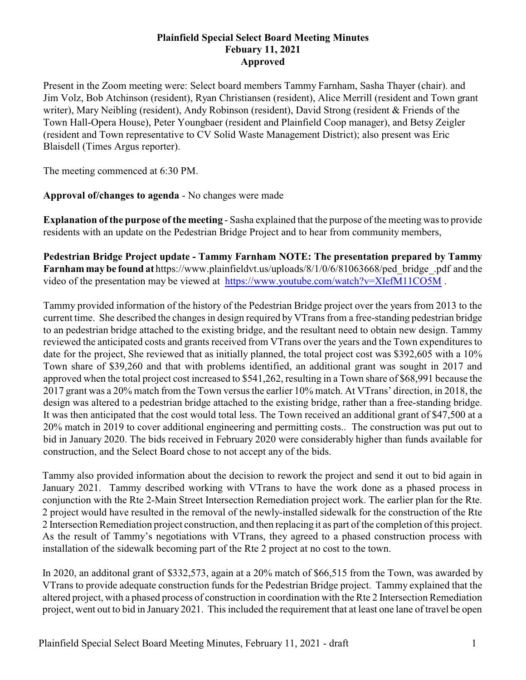## **Plainfield Special Select Board Meeting Minutes Febuary 11, 2021 Approved**

Present in the Zoom meeting were: Select board members Tammy Farnham, Sasha Thayer (chair). and Jim Volz, Bob Atchinson (resident), Ryan Christiansen (resident), Alice Merrill (resident and Town grant writer), Mary Neibling (resident), Andy Robinson (resident), David Strong (resident & Friends of the Town Hall-Opera House), Peter Youngbaer (resident and Plainfield Coop manager), and Betsy Zeigler (resident and Town representative to CV Solid Waste Management District); also present was Eric Blaisdell (Times Argus reporter).

The meeting commenced at 6:30 PM.

**Approval of/changes to agenda** - No changes were made

**Explanation of the purpose of the meeting** - Sasha explained that the purpose of the meeting was to provide residents with an update on the Pedestrian Bridge Project and to hear from community members,

**Pedestrian Bridge Project update - Tammy Farnham NOTE: The presentation prepared by Tammy Farnham may be found at** https://www.plainfieldvt.us/uploads/8/1/0/6/81063668/ped\_bridge\_.pdf and the video of the presentation may be viewed at <https://www.youtube.com/watch?v=XIefM11CO5M> .

Tammy provided information of the history of the Pedestrian Bridge project over the years from 2013 to the current time. She described the changes in design required by VTrans from a free-standing pedestrian bridge to an pedestrian bridge attached to the existing bridge, and the resultant need to obtain new design. Tammy reviewed the anticipated costs and grants received from VTrans over the years and the Town expenditures to date for the project, She reviewed that as initially planned, the total project cost was \$392,605 with a 10% Town share of \$39,260 and that with problems identified, an additional grant was sought in 2017 and approved when the total project cost increased to \$541,262, resulting in a Town share of \$68,991 because the 2017 grant was a 20% match from the Town versus the earlier 10% match. At VTrans' direction, in 2018, the design was altered to a pedestrian bridge attached to the existing bridge, rather than a free-standing bridge. It was then anticipated that the cost would total less. The Town received an additional grant of \$47,500 at a 20% match in 2019 to cover additional engineering and permitting costs.. The construction was put out to bid in January 2020. The bids received in February 2020 were considerably higher than funds available for construction, and the Select Board chose to not accept any of the bids.

Tammy also provided information about the decision to rework the project and send it out to bid again in January 2021. Tammy described working with VTrans to have the work done as a phased process in conjunction with the Rte 2-Main Street Intersection Remediation project work. The earlier plan for the Rte. 2 project would have resulted in the removal of the newly-installed sidewalk for the construction of the Rte 2 Intersection Remediation project construction, and then replacing it as part of the completion of this project. As the result of Tammy's negotiations with VTrans, they agreed to a phased construction process with installation of the sidewalk becoming part of the Rte 2 project at no cost to the town.

In 2020, an additonal grant of \$332,573, again at a 20% match of \$66,515 from the Town, was awarded by VTrans to provide adequate construction funds for the Pedestrian Bridge project. Tammy explained that the altered project, with a phased process of construction in coordination with the Rte 2 Intersection Remediation project, went out to bid in January 2021. This included the requirement that at least one lane of travel be open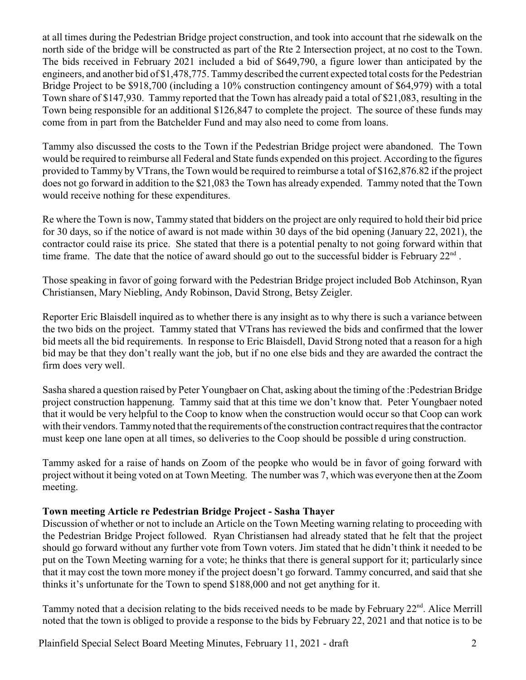at all times during the Pedestrian Bridge project construction, and took into account that rhe sidewalk on the north side of the bridge will be constructed as part of the Rte 2 Intersection project, at no cost to the Town. The bids received in February 2021 included a bid of \$649,790, a figure lower than anticipated by the engineers, and another bid of \$1,478,775. Tammydescribed the current expected total costs for the Pedestrian Bridge Project to be \$918,700 (including a 10% construction contingency amount of \$64,979) with a total Town share of \$147,930. Tammy reported that the Town has already paid a total of \$21,083, resulting in the Town being responsible for an additional \$126,847 to complete the project. The source of these funds may come from in part from the Batchelder Fund and may also need to come from loans.

Tammy also discussed the costs to the Town if the Pedestrian Bridge project were abandoned. The Town would be required to reimburse all Federal and State funds expended on this project. According to the figures provided to Tammy by VTrans, the Town would be required to reimburse a total of \$162,876.82 if the project does not go forward in addition to the \$21,083 the Town has already expended. Tammy noted that the Town would receive nothing for these expenditures.

Re where the Town is now, Tammy stated that bidders on the project are only required to hold their bid price for 30 days, so if the notice of award is not made within 30 days of the bid opening (January 22, 2021), the contractor could raise its price. She stated that there is a potential penalty to not going forward within that time frame. The date that the notice of award should go out to the successful bidder is February  $22<sup>nd</sup>$ .

Those speaking in favor of going forward with the Pedestrian Bridge project included Bob Atchinson, Ryan Christiansen, Mary Niebling, Andy Robinson, David Strong, Betsy Zeigler.

Reporter Eric Blaisdell inquired as to whether there is any insight as to why there is such a variance between the two bids on the project. Tammy stated that VTrans has reviewed the bids and confirmed that the lower bid meets all the bid requirements. In response to Eric Blaisdell, David Strong noted that a reason for a high bid may be that they don't really want the job, but if no one else bids and they are awarded the contract the firm does very well.

Sasha shared a question raised by Peter Youngbaer on Chat, asking about the timing of the :Pedestrian Bridge project construction happenung. Tammy said that at this time we don't know that. Peter Youngbaer noted that it would be very helpful to the Coop to know when the construction would occur so that Coop can work with their vendors. Tammynoted that the requirements of the construction contract requires that the contractor must keep one lane open at all times, so deliveries to the Coop should be possible d uring construction.

Tammy asked for a raise of hands on Zoom of the peopke who would be in favor of going forward with project without it being voted on at Town Meeting. The number was 7, which was everyone then at the Zoom meeting.

## **Town meeting Article re Pedestrian Bridge Project - Sasha Thayer**

Discussion of whether or not to include an Article on the Town Meeting warning relating to proceeding with the Pedestrian Bridge Project followed. Ryan Christiansen had already stated that he felt that the project should go forward without any further vote from Town voters. Jim stated that he didn't think it needed to be put on the Town Meeting warning for a vote; he thinks that there is general support for it; particularly since that it may cost the town more money if the project doesn't go forward. Tammy concurred, and said that she thinks it's unfortunate for the Town to spend \$188,000 and not get anything for it.

Tammy noted that a decision relating to the bids received needs to be made by February 22<sup>nd</sup>. Alice Merrill noted that the town is obliged to provide a response to the bids by February 22, 2021 and that notice is to be